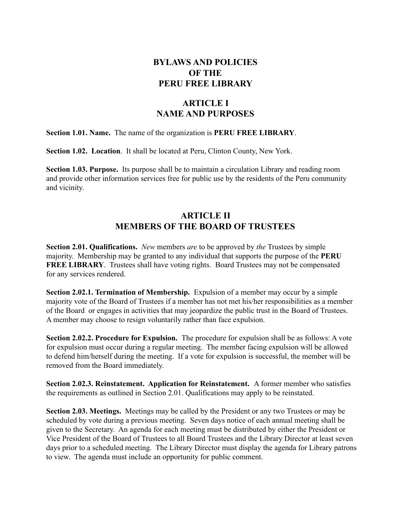## **BYLAWS AND POLICIES OF THE PERU FREE LIBRARY**

# **ARTICLE I NAME AND PURPOSES**

**Section 1.01. Name.** The name of the organization is **PERU FREE LIBRARY**.

**Section 1.02. Location**. It shall be located at Peru, Clinton County, New York.

**Section 1.03. Purpose.** Its purpose shall be to maintain a circulation Library and reading room and provide other information services free for public use by the residents of the Peru community and vicinity.

### **ARTICLE II MEMBERS OF THE BOARD OF TRUSTEES**

**Section 2.01. Qualifications.** *New* members *are* to be approved by *the* Trustees by simple majority. Membership may be granted to any individual that supports the purpose of the **PERU FREE LIBRARY**. Trustees shall have voting rights. Board Trustees may not be compensated for any services rendered.

**Section 2.02.1. Termination of Membership.** Expulsion of a member may occur by a simple majority vote of the Board of Trustees if a member has not met his/her responsibilities as a member of the Board or engages in activities that may jeopardize the public trust in the Board of Trustees. A member may choose to resign voluntarily rather than face expulsion.

**Section 2.02.2. Procedure for Expulsion.** The procedure for expulsion shall be as follows: A vote for expulsion must occur during a regular meeting. The member facing expulsion will be allowed to defend him/herself during the meeting. If a vote for expulsion is successful, the member will be removed from the Board immediately.

**Section 2.02.3. Reinstatement. Application for Reinstatement.** A former member who satisfies the requirements as outlined in Section 2.01. Qualifications may apply to be reinstated.

**Section 2.03. Meetings.** Meetings may be called by the President or any two Trustees or may be scheduled by vote during a previous meeting. Seven days notice of each annual meeting shall be given to the Secretary. An agenda for each meeting must be distributed by either the President or Vice President of the Board of Trustees to all Board Trustees and the Library Director at least seven days prior to a scheduled meeting. The Library Director must display the agenda for Library patrons to view. The agenda must include an opportunity for public comment.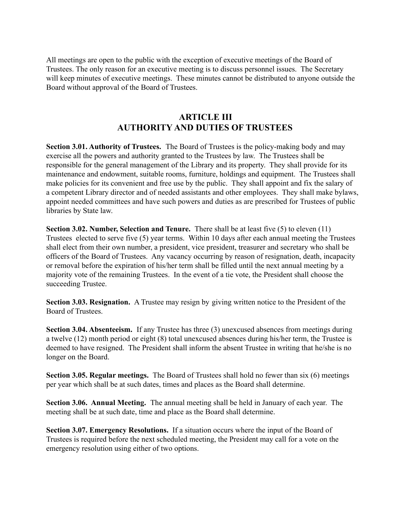All meetings are open to the public with the exception of executive meetings of the Board of Trustees. The only reason for an executive meeting is to discuss personnel issues. The Secretary will keep minutes of executive meetings. These minutes cannot be distributed to anyone outside the Board without approval of the Board of Trustees.

# **ARTICLE III AUTHORITY AND DUTIES OF TRUSTEES**

**Section 3.01. Authority of Trustees.** The Board of Trustees is the policy-making body and may exercise all the powers and authority granted to the Trustees by law. The Trustees shall be responsible for the general management of the Library and its property. They shall provide for its maintenance and endowment, suitable rooms, furniture, holdings and equipment. The Trustees shall make policies for its convenient and free use by the public. They shall appoint and fix the salary of a competent Library director and of needed assistants and other employees. They shall make bylaws, appoint needed committees and have such powers and duties as are prescribed for Trustees of public libraries by State law.

**Section 3.02. Number, Selection and Tenure.** There shall be at least five (5) to eleven (11) Trustees elected to serve five (5) year terms. Within 10 days after each annual meeting the Trustees shall elect from their own number, a president, vice president, treasurer and secretary who shall be officers of the Board of Trustees. Any vacancy occurring by reason of resignation, death, incapacity or removal before the expiration of his/her term shall be filled until the next annual meeting by a majority vote of the remaining Trustees. In the event of a tie vote, the President shall choose the succeeding Trustee.

**Section 3.03. Resignation.** A Trustee may resign by giving written notice to the President of the Board of Trustees.

**Section 3.04. Absenteeism.** If any Trustee has three (3) unexcused absences from meetings during a twelve (12) month period or eight (8) total unexcused absences during his/her term, the Trustee is deemed to have resigned. The President shall inform the absent Trustee in writing that he/she is no longer on the Board.

**Section 3.05. Regular meetings.** The Board of Trustees shall hold no fewer than six (6) meetings per year which shall be at such dates, times and places as the Board shall determine.

**Section 3.06. Annual Meeting.** The annual meeting shall be held in January of each year. The meeting shall be at such date, time and place as the Board shall determine.

**Section 3.07. Emergency Resolutions.** If a situation occurs where the input of the Board of Trustees is required before the next scheduled meeting, the President may call for a vote on the emergency resolution using either of two options.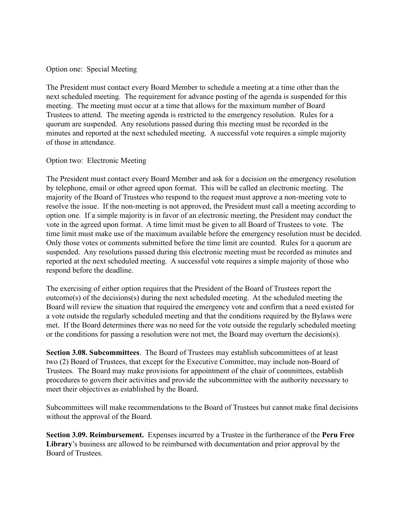Option one: Special Meeting

The President must contact every Board Member to schedule a meeting at a time other than the next scheduled meeting. The requirement for advance posting of the agenda is suspended for this meeting. The meeting must occur at a time that allows for the maximum number of Board Trustees to attend. The meeting agenda is restricted to the emergency resolution. Rules for a quorum are suspended. Any resolutions passed during this meeting must be recorded in the minutes and reported at the next scheduled meeting. A successful vote requires a simple majority of those in attendance.

#### Option two: Electronic Meeting

The President must contact every Board Member and ask for a decision on the emergency resolution by telephone, email or other agreed upon format. This will be called an electronic meeting. The majority of the Board of Trustees who respond to the request must approve a non-meeting vote to resolve the issue. If the non-meeting is not approved, the President must call a meeting according to option one. If a simple majority is in favor of an electronic meeting, the President may conduct the vote in the agreed upon format. A time limit must be given to all Board of Trustees to vote. The time limit must make use of the maximum available before the emergency resolution must be decided. Only those votes or comments submitted before the time limit are counted. Rules for a quorum are suspended. Any resolutions passed during this electronic meeting must be recorded as minutes and reported at the next scheduled meeting. A successful vote requires a simple majority of those who respond before the deadline.

The exercising of either option requires that the President of the Board of Trustees report the outcome(s) of the decisions(s) during the next scheduled meeting. At the scheduled meeting the Board will review the situation that required the emergency vote and confirm that a need existed for a vote outside the regularly scheduled meeting and that the conditions required by the Bylaws were met. If the Board determines there was no need for the vote outside the regularly scheduled meeting or the conditions for passing a resolution were not met, the Board may overturn the decision(s).

**Section 3.08. Subcommittees**. The Board of Trustees may establish subcommittees of at least two (2) Board of Trustees, that except for the Executive Committee, may include non-Board of Trustees. The Board may make provisions for appointment of the chair of committees, establish procedures to govern their activities and provide the subcommittee with the authority necessary to meet their objectives as established by the Board.

Subcommittees will make recommendations to the Board of Trustees but cannot make final decisions without the approval of the Board.

**Section 3.09. Reimbursement.** Expenses incurred by a Trustee in the furtherance of the **Peru Free Library**'s business are allowed to be reimbursed with documentation and prior approval by the Board of Trustees.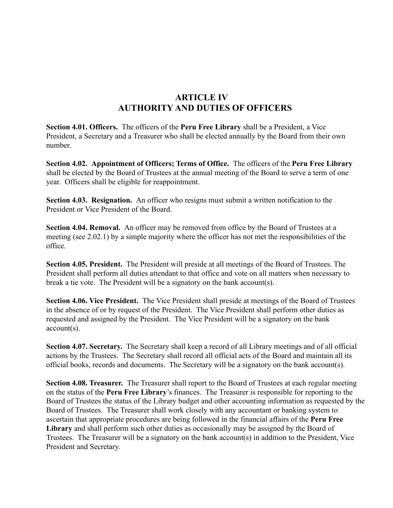# **ARTICLE IV AUTHORITY AND DUTIES OF OFFICERS**

**Section 4.01. Officers.** The officers of the **Peru Free Library** shall be a President, a Vice President, a Secretary and a Treasurer who shall be elected annually by the Board from their own number.

**Section 4.02. Appointment of Officers; Terms of Office.** The officers of the **Peru Free Library** shall be elected by the Board of Trustees at the annual meeting of the Board to serve a term of one year. Officers shall be eligible for reappointment.

**Section 4.03. Resignation.** An officer who resigns must submit a written notification to the President or Vice President of the Board.

Section 4.04. Removal. An officer may be removed from office by the Board of Trustees at a meeting (see 2.02.1) by a simple majority where the officer has not met the responsibilities of the office.

**Section 4.05. President.** The President will preside at all meetings of the Board of Trustees. The President shall perform all duties attendant to that office and vote on all matters when necessary to break a tie vote. The President will be a signatory on the bank account(s).

**Section 4.06. Vice President.** The Vice President shall preside at meetings of the Board of Trustees in the absence of or by request of the President. The Vice President shall perform other duties as requested and assigned by the President. The Vice President will be a signatory on the bank account(s).

**Section 4.07. Secretary.** The Secretary shall keep a record of all Library meetings and of all official actions by the Trustees. The Secretary shall record all official acts of the Board and maintain all its official books, records and documents. The Secretary will be a signatory on the bank account(s).

**Section 4.08. Treasurer.** The Treasurer shall report to the Board of Trustees at each regular meeting on the status of the **Peru Free Library**'s finances. The Treasurer is responsible for reporting to the Board of Trustees the status of the Library budget and other accounting information as requested by the Board of Trustees. The Treasurer shall work closely with any accountant or banking system to ascertain that appropriate procedures are being followed in the financial affairs of the **Peru Free** Library and shall perform such other duties as occasionally may be assigned by the Board of Trustees. The Treasurer will be a signatory on the bank account(s) in addition to the President, Vice President and Secretary.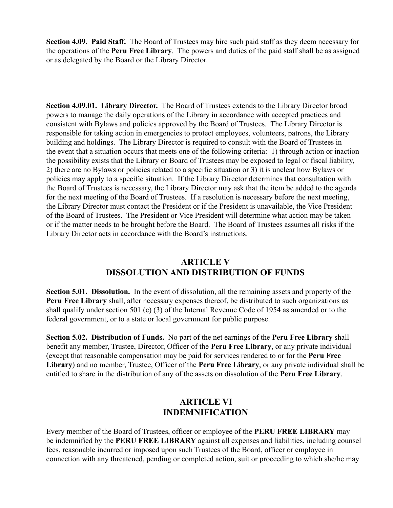**Section 4.09. Paid Staff.** The Board of Trustees may hire such paid staff as they deem necessary for the operations of the **Peru Free Library**. The powers and duties of the paid staff shall be as assigned or as delegated by the Board or the Library Director.

**Section 4.09.01. Library Director.** The Board of Trustees extends to the Library Director broad powers to manage the daily operations of the Library in accordance with accepted practices and consistent with Bylaws and policies approved by the Board of Trustees. The Library Director is responsible for taking action in emergencies to protect employees, volunteers, patrons, the Library building and holdings. The Library Director is required to consult with the Board of Trustees in the event that a situation occurs that meets one of the following criteria: 1) through action or inaction the possibility exists that the Library or Board of Trustees may be exposed to legal or fiscal liability, 2) there are no Bylaws or policies related to a specific situation or 3) it is unclear how Bylaws or policies may apply to a specific situation. If the Library Director determines that consultation with the Board of Trustees is necessary, the Library Director may ask that the item be added to the agenda for the next meeting of the Board of Trustees. If a resolution is necessary before the next meeting, the Library Director must contact the President or if the President is unavailable, the Vice President of the Board of Trustees. The President or Vice President will determine what action may be taken or if the matter needs to be brought before the Board. The Board of Trustees assumes all risks if the Library Director acts in accordance with the Board's instructions.

# **ARTICLE V DISSOLUTION AND DISTRIBUTION OF FUNDS**

**Section 5.01. Dissolution.** In the event of dissolution, all the remaining assets and property of the **Peru Free Library** shall, after necessary expenses thereof, be distributed to such organizations as shall qualify under section 501 (c) (3) of the Internal Revenue Code of 1954 as amended or to the federal government, or to a state or local government for public purpose.

**Section 5.02. Distribution of Funds.** No part of the net earnings of the **Peru Free Library** shall benefit any member, Trustee, Director, Officer of the **Peru Free Library**, or any private individual (except that reasonable compensation may be paid for services rendered to or for the **Peru Free Library**) and no member, Trustee, Officer of the **Peru Free Library**, or any private individual shall be entitled to share in the distribution of any of the assets on dissolution of the **Peru Free Library**.

#### **ARTICLE VI INDEMNIFICATION**

Every member of the Board of Trustees, officer or employee of the **PERU FREE LIBRARY** may be indemnified by the **PERU FREE LIBRARY** against all expenses and liabilities, including counsel fees, reasonable incurred or imposed upon such Trustees of the Board, officer or employee in connection with any threatened, pending or completed action, suit or proceeding to which she/he may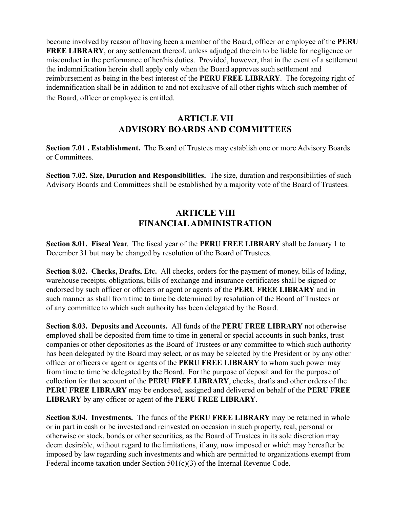become involved by reason of having been a member of the Board, officer or employee of the **PERU FREE LIBRARY**, or any settlement thereof, unless adjudged therein to be liable for negligence or misconduct in the performance of her/his duties. Provided, however, that in the event of a settlement the indemnification herein shall apply only when the Board approves such settlement and reimbursement as being in the best interest of the **PERU FREE LIBRARY**. The foregoing right of indemnification shall be in addition to and not exclusive of all other rights which such member of the Board, officer or employee is entitled.

# **ARTICLE VII ADVISORY BOARDS AND COMMITTEES**

**Section 7.01 . Establishment.** The Board of Trustees may establish one or more Advisory Boards or Committees.

**Section 7.02. Size, Duration and Responsibilities.** The size, duration and responsibilities of such Advisory Boards and Committees shall be established by a majority vote of the Board of Trustees.

# **ARTICLE VIII FINANCIALADMINISTRATION**

**Section 8.01. Fiscal Yea**r. The fiscal year of the **PERU FREE LIBRARY** shall be January 1 to December 31 but may be changed by resolution of the Board of Trustees.

**Section 8.02. Checks, Drafts, Etc.** All checks, orders for the payment of money, bills of lading, warehouse receipts, obligations, bills of exchange and insurance certificates shall be signed or endorsed by such officer or officers or agent or agents of the **PERU FREE LIBRARY** and in such manner as shall from time to time be determined by resolution of the Board of Trustees or of any committee to which such authority has been delegated by the Board.

**Section 8.03. Deposits and Accounts.** All funds of the **PERU FREE LIBRARY** not otherwise employed shall be deposited from time to time in general or special accounts in such banks, trust companies or other depositories as the Board of Trustees or any committee to which such authority has been delegated by the Board may select, or as may be selected by the President or by any other officer or officers or agent or agents of the **PERU FREE LIBRARY** to whom such power may from time to time be delegated by the Board. For the purpose of deposit and for the purpose of collection for that account of the **PERU FREE LIBRARY**, checks, drafts and other orders of the **PERU FREE LIBRARY** may be endorsed, assigned and delivered on behalf of the **PERU FREE LIBRARY** by any officer or agent of the **PERU FREE LIBRARY**.

**Section 8.04. Investments.** The funds of the **PERU FREE LIBRARY** may be retained in whole or in part in cash or be invested and reinvested on occasion in such property, real, personal or otherwise or stock, bonds or other securities, as the Board of Trustees in its sole discretion may deem desirable, without regard to the limitations, if any, now imposed or which may hereafter be imposed by law regarding such investments and which are permitted to organizations exempt from Federal income taxation under Section 501(c)(3) of the Internal Revenue Code.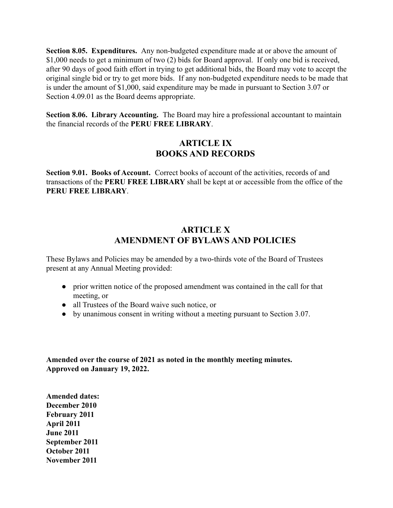**Section 8.05. Expenditures.** Any non-budgeted expenditure made at or above the amount of \$1,000 needs to get a minimum of two (2) bids for Board approval. If only one bid is received, after 90 days of good faith effort in trying to get additional bids, the Board may vote to accept the original single bid or try to get more bids. If any non-budgeted expenditure needs to be made that is under the amount of \$1,000, said expenditure may be made in pursuant to Section 3.07 or Section 4.09.01 as the Board deems appropriate.

**Section 8.06. Library Accounting.** The Board may hire a professional accountant to maintain the financial records of the **PERU FREE LIBRARY**.

### **ARTICLE IX BOOKS AND RECORDS**

**Section 9.01. Books of Account.** Correct books of account of the activities, records of and transactions of the **PERU FREE LIBRARY** shall be kept at or accessible from the office of the **PERU FREE LIBRARY**.

# **ARTICLE X AMENDMENT OF BYLAWS AND POLICIES**

These Bylaws and Policies may be amended by a two-thirds vote of the Board of Trustees present at any Annual Meeting provided:

- prior written notice of the proposed amendment was contained in the call for that meeting, or
- all Trustees of the Board waive such notice, or
- by unanimous consent in writing without a meeting pursuant to Section 3.07.

**Amended over the course of 2021 as noted in the monthly meeting minutes. Approved on January 19, 2022.**

**Amended dates: December 2010 February 2011 April 2011 June 2011 September 2011 October 2011 November 2011**